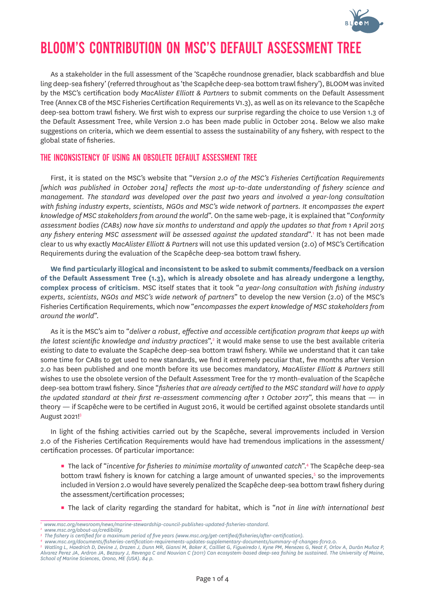

# BLOOM'S CONTRIBUTION ON MSC'S DEFAULT ASSESSMENT TREE

As a stakeholder in the full assessment of the 'Scapêche roundnose grenadier, black scabbardfish and blue ling deep-sea fishery' (referred throughout as 'the Scapêche deep-sea bottom trawl fishery'), BLOOM was invited by the MSC's certification body *MacAlister Elliott & Partners* to submit comments on the Default Assessment Tree (Annex CB of the MSC Fisheries Certification Requirements V1.3), as well as on its relevance to the Scapêche deep-sea bottom trawl fishery. We first wish to express our surprise regarding the choice to use Version 1.3 of the Default Assessment Tree, while Version 2.0 has been made public in October 2014. Below we also make suggestions on criteria, which we deem essential to assess the sustainability of any fishery, with respect to the global state of fisheries.

# THE INCONSISTENCY OF USING AN OBSOLETE DEFAULT ASSESSMENT TREE

First, it is stated on the MSC's website that "*Version 2.0 of the MSC's Fisheries Certification Requirements [which was published in October 2014] reflects the most up-to-date understanding of fishery science and management. The standard was developed over the past two years and involved a year-long consultation with fishing industry experts, scientists, NGOs and MSC's wide network of partners. It encompasses the expert knowledge of MSC stakeholders from around the world*". On the same web-page, it is explained that "*Conformity assessment bodies (CABs) now have six months to understand and apply the updates so that from 1 April 2015*  any fishery entering MSC assessment will be assessed against the updated standard".<sup>1</sup> It has not been made clear to us why exactly *MacAlister Elliott & Partners* will not use this updated version (2.0) of MSC's Certification Requirements during the evaluation of the Scapêche deep-sea bottom trawl fishery.

**We find particularly illogical and inconsistent to be asked to submit comments/feedback on a version of the Default Assessment Tree (1.3), which is already obsolete and has already undergone a lengthy, complex process of criticism**. MSC itself states that it took "*a year-long consultation with fishing industry experts, scientists, NGOs and MSC's wide network of partners*" to develop the new Version (2.0) of the MSC's Fisheries Certification Requirements, which now "*encompasses the expert knowledge of MSC stakeholders from around the world*".

As it is the MSC's aim to "*deliver a robust, effective and accessible certification program that keeps up with the latest scientific knowledge and industry practices*",2 it would make sense to use the best available criteria existing to date to evaluate the Scapêche deep-sea bottom trawl fishery. While we understand that it can take some time for CABs to get used to new standards, we find it extremely peculiar that, five months after Version 2.0 has been published and one month before its use becomes mandatory, *MacAlister Elliott & Partners* still wishes to use the obsolete version of the Default Assessment Tree for the 17 month-evaluation of the Scapêche deep-sea bottom trawl fishery. Since "*fisheries that are already certified to the MSC standard will have to apply the updated standard at their first re-assessment commencing after 1 October 2017*", this means that — in theory — if Scapêche were to be certified in August 2016, it would be certified against obsolete standards until August 2021!3

In light of the fishing activities carried out by the Scapêche, several improvements included in Version 2.0 of the Fisheries Certification Requirements would have had tremendous implications in the assessment/ certification processes. Of particular importance:

**The lack of "incentive for fisheries to minimise mortality of unwanted catch".<sup>4</sup> The Scapêche deep-sea** bottom trawl fishery is known for catching a large amount of unwanted species,<sup>5</sup> so the improvements included in Version 2.0 would have severely penalized the Scapêche deep-sea bottom trawl fishery during the assessment/certification processes;

▪ The lack of clarity regarding the standard for habitat, which is "*not in line with international best* 

*<sup>1</sup> www.msc.org/newsroom/news/marine-stewardship-council-publishes-updated-fisheries-standard.*

The fishery is certified for a maximum period of five years (www.msc.org/get-certified/fisheries/after-certification).<br>www.msc.org/documents/fisheries-certification-requirements-updates-supplementary-documents/summary-of-c

*Alvarez Perez JA, Ardron JA, Bezaury J, Revenga C and Nouvian C (2011) Can ecosystem-based deep-sea fishing be sustained. The University of Maine, School of Marine Sciences, Orono, ME (USA). 84 p.*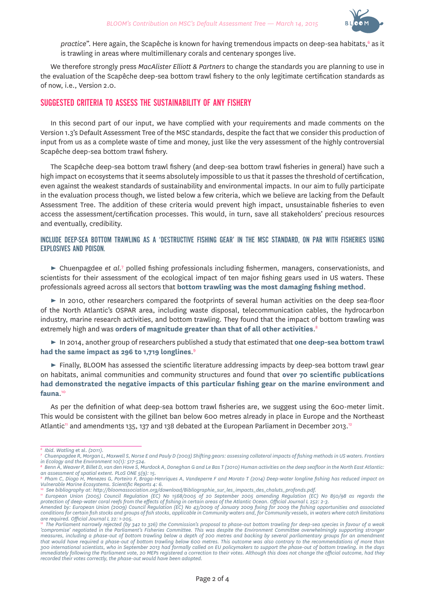

practice". Here again, the Scapêche is known for having tremendous impacts on deep-sea habitats,<sup>6</sup> as it is trawling in areas where multimillenary corals and centenary sponges live.

We therefore strongly press *MacAlister Elliott & Partners* to change the standards you are planning to use in the evaluation of the Scapêche deep-sea bottom trawl fishery to the only legitimate certification standards as of now, i.e., Version 2.0.

# SUGGESTED CRITERIA TO ASSESS THE SUSTAINABILITY OF ANY FISHERY

In this second part of our input, we have complied with your requirements and made comments on the Version 1.3's Default Assessment Tree of the MSC standards, despite the fact that we consider this production of input from us as a complete waste of time and money, just like the very assessment of the highly controversial Scapêche deep-sea bottom trawl fishery.

The Scapêche deep-sea bottom trawl fishery (and deep-sea bottom trawl fisheries in general) have such a high impact on ecosystems that it seems absolutely impossible to us that it passes the threshold of certification, even against the weakest standards of sustainability and environmental impacts. In our aim to fully participate in the evaluation process though, we listed below a few criteria, which we believe are lacking from the Default Assessment Tree. The addition of these criteria would prevent high impact, unsustainable fisheries to even access the assessment/certification processes. This would, in turn, save all stakeholders' precious resources and eventually, credibility.

## INCLUDE DEEP-SEA BOTTOM TRAWLING AS A 'DESTRUCTIVE FISHING GEAR' IN THE MSC STANDARD, ON PAR WITH FISHERIES USING EXPLOSIVES AND POISON.

► Chuenpagdee et al.<sup>7</sup> polled fishing professionals including fishermen, managers, conservationists, and scientists for their assessment of the ecological impact of ten major fishing gears used in US waters. These professionals agreed across all sectors that **bottom trawling was the most damaging fishing method**.

► In 2010, other researchers compared the footprints of several human activities on the deep sea-floor of the North Atlantic's OSPAR area, including waste disposal, telecommunication cables, the hydrocarbon industry, marine research activities, and bottom trawling. They found that the impact of bottom trawling was extremely high and was **orders of magnitude greater than that of all other activities**. 8

► In 2014, another group of researchers published a study that estimated that **one deep-sea bottom trawl had the same impact as 296 to 1,719 longlines**. 9

► Finally, BLOOM has assessed the scientific literature addressing impacts by deep-sea bottom trawl gear on habitats, animal communities and community structures and found that **over 70 scientific publications had demonstrated the negative impacts of this particular fishing gear on the marine environment and fauna**. 10

As per the definition of what deep-sea bottom trawl fisheries are, we suggest using the 600-meter limit. This would be consistent with the gillnet ban below 600 metres already in place in Europe and the Northeast Atlantic<sup>11</sup> and amendments 135, 137 and 138 debated at the European Parliament in December 2013.<sup>12</sup>

*<sup>6</sup> Ibid. Watling* et al. *(2011). <sup>7</sup> Chuenpagdee R, Morgan L, Maxwell S, Norse E and Pauly D (2003) Shifting gears: assessing collateral impacts of fishing methods in US waters. Frontiers in Ecology and the Environment 10(1): 517-524.*

*<sup>8</sup> Benn A, Weaver P, Billet D, van den Hove S, Murdock A, Doneghan G and Le Bas T (2010) Human activities on the deep seafloor in the North East Atlantic: an assessment of spatial extent. PLoS ONE 5(9): 15.*

*<sup>9</sup> Pham C, Diogo H, Menezes G, Porteiro F, Braga-Henriques A, Vandeperre F and Morato T (2014) Deep-water longline fishing has reduced impact on Vulnerable Marine Ecosystems. Scientific Reports 4: 6.*

n Buropean Union (2005) Council Regulation (EC) No 1568/2005 of 20 September 2005 amending Regulation (EC) No 850/98 as regards the *protection of deep-water coral reefs from the effects of fishing in certain areas of the Atlantic Ocean. Official Journal L 252: 2-3.*

*Amended by: European Union (2009) Council Regulation (EC) No 43/2009 of January 2009 fixing for 2009 the fishing opportunities and associated conditions for certain fish stocks and groups of fish stocks, applicable in Community waters and, for Community vessels, in waters where catch limitations* 

<sup>&</sup>lt;sup>12</sup> The Parliament narrowly rejected (by 342 to 326) the Commission's proposal to phase-out bottom trawling for deep-sea species in favour of a weak *'compromise' negotiated in the Parliament's Fisheries Committee. This was despite the Environment Committee overwhelmingly supporting stronger measures, including a phase-out of bottom trawling below a depth of 200 metres and backing by several parliamentary groups for an amendment that would have required a phase-out of bottom trawling below 600 metres. This outcome was also contrary to the recommendations of more than 300 international scientists, who in September 2013 had formally called on EU policymakers to support the phase-out of bottom trawling. In the days immediately following the Parliament vote, 20 MEPs registered a correction to their votes. Although this does not change the official outcome, had they recorded their votes correctly, the phase-out would have been adopted.*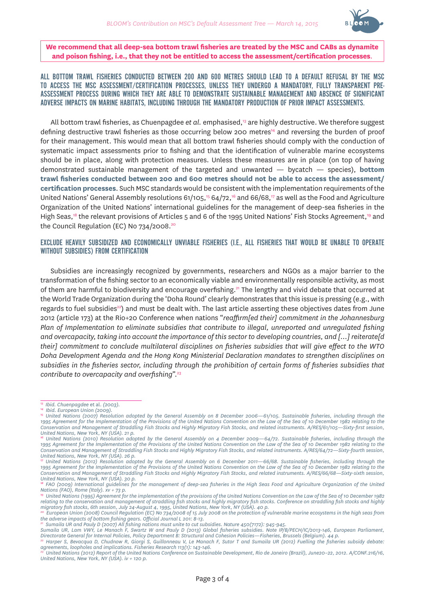

#### **We recommend that all deep-sea bottom trawl fisheries are treated by the MSC and CABs as dynamite and poison fishing, i.e., that they not be entitled to access the assessment/certification processes**.

ALL BOTTOM TRAWL FISHERIES CONDUCTED BETWEEN 200 AND 600 METRES SHOULD LEAD TO A DEFAULT REFUSAL BY THE MSC TO ACCESS THE MSC ASSESSMENT/CERTIFICATION PROCESSES, UNLESS THEY UNDERGO A MANDATORY, FULLY TRANSPARENT PRE-ASSESSMENT PROCESS DURING WHICH THEY ARE ABLE TO DEMONSTRATE SUSTAINABLE MANAGEMENT AND ABSENCE OF SIGNIFICANT ADVERSE IMPACTS ON MARINE HABITATS, INCLUDING THROUGH THE MANDATORY PRODUCTION OF PRIOR IMPACT ASSESSMENTS.

All bottom trawl fisheries, as Chuenpagdee *et al.* emphasised,13 are highly destructive. We therefore suggest defining destructive trawl fisheries as those occurring below 200 metres14 and reversing the burden of proof for their management. This would mean that all bottom trawl fisheries should comply with the conduction of systematic impact assessments prior to fishing and that the identification of vulnerable marine ecosystems should be in place, along with protection measures. Unless these measures are in place (on top of having demonstrated sustainable management of the targeted and unwanted — bycatch — species), **bottom trawl fisheries conducted between 200 and 600 metres should not be able to access the assessment/ certification processes**. Such MSC standards would be consistent with the implementation requirements of the United Nations' General Assembly resolutions 61/105,<sup>15</sup> 64/72,<sup>16</sup> and 66/68,<sup>17</sup> as well as the Food and Agriculture Organization of the United Nations' international guidelines for the management of deep-sea fisheries in the High Seas,<sup>18</sup> the relevant provisions of Articles 5 and 6 of the 1995 United Nations' Fish Stocks Agreement,<sup>19</sup> and the Council Regulation (EC) No 734/2008.<sup>20</sup>

#### EXCLUDE HEAVILY SUBSIDIZED AND ECONOMICALLY UNVIABLE FISHERIES (I.E., ALL FISHERIES THAT WOULD BE UNABLE TO OPERATE WITHOUT SUBSIDIES) FROM CERTIFICATION

Subsidies are increasingly recognized by governments, researchers and NGOs as a major barrier to the transformation of the fishing sector to an economically viable and environmentally responsible activity, as most of them are harmful to biodiversity and encourage overfishing.21 The lengthy and vivid debate that occurred at the World Trade Organization during the 'Doha Round' clearly demonstrates that this issue is pressing (e.g., with regards to fuel subsidies<sup>22</sup>) and must be dealt with. The last article asserting these objectives dates from June 2012 (article 173) at the Rio+20 Conference when nations "*reaffirm[ed their] commitment in the Johannesburg Plan of Implementation to eliminate subsidies that contribute to illegal, unreported and unregulated fishing and overcapacity, taking into account the importance of this sector to developing countries, and […] reiterate[d their] commitment to conclude multilateral disciplines on fisheries subsidies that will give effect to the WTO Doha Development Agenda and the Hong Kong Ministerial Declaration mandates to strengthen disciplines on subsidies in the fisheries sector, including through the prohibition of certain forms of fisheries subsidies that contribute to overcapacity and overfishing*".23

<sup>&</sup>lt;sup>13</sup> Ibid. Chuenpagdee et al. (2003).<br><sup>14</sup> Ibid. European Union (2009).<br><sup>15</sup> United Nations (2007) Resolution adopted by the General Assembly on 8 December 2006—61/105. Sustainable fisheries, including through the 1995 Agreement for the Implementation of the Provisions of the United Nations Convention on the Law of the Sea of 10 December 1982 relating to the *Conservation and Management of Straddling Fish Stocks and Highly Migratory Fish Stocks, and related instruments. A/RES/61/105—Sixty-first session, United Nations, New York, NY (USA). 21 p. <sup>16</sup> United Nations (2010) Resolution adopted by the General Assembly on 4 December 2009—64/72. Sustainable fisheries, including through the* 

<sup>1995</sup> Agreement for the Implementation of the Provisions of the United Nations Convention on the Law of the Sea of 10 December 1982 relating to the *Conservation and Management of Straddling Fish Stocks and Highly Migratory Fish Stocks, and related instruments. A/RES/64/72—Sixty-fourth session, United Nations, New York, NY (USA). 26 p.*

*<sup>17</sup> United Nations (2012) Resolution adopted by the General Assembly on 6 December 2011—66/68. Sustainable fisheries, including through the*  1995 Agreement for the Implementation of the Provisions of the United Nations Convention on the Law of the Sea of 10 December 1982 relating to the *Conservation and Management of Straddling Fish Stocks and Highly Migratory Fish Stocks, and related instruments. A/RES/66/68—Sixty-sixth session, United Nations, New York, NY (USA). 30 p.*

<sup>&</sup>lt;sup>18</sup> FAO (2009) International guidelines for the management of deep-sea fisheries in the High Seas Food and Agriculture Organization of the United *Nations (FAO), Rome (Italy). xv + 73 p.*

*<sup>19</sup> United Nations (1995) Agreement for the implementation of the provisions of the United Nations Convention on the Law of the Sea of 10 December 1982 relating to the conservation and management of straddling fish stocks and highly migratory fish stocks. Conference on straddling fish stocks and highly migratory fish stocks, 6th session, July 24-August 4, 1995, United Nations, New York, NY (USA). 40 p.*

*<sup>20</sup> European Union (2008) Council Regulation (EC) No 734/2008 of 15 July 2008 on the protection of vulnerable marine ecosystems in the high seas from the adverse impacts of bottom fishing gears. Official Journal L 201: 8-13. <sup>21</sup> Sumaila UR and Pauly D (2007) All fishing nations must unite to cut subsidies. Nature 450(7172): 945-945.*

*Sumaila UR, Lam VWY, Le Manach F, Swartz W and Pauly D (2013) Global fisheries subsidies. Note IP/B/PECH/IC/2013-146, European Parliament, Directorate General for Internal Policies, Policy Department B: Structural and Cohesion Policies—Fisheries, Brussels (Belgium). 44 p.*

*<sup>22</sup> Harper S, Bevacqua D, Chudnow R, Giorgi S, Guillonneau V, Le Manach F, Sutor T and Sumaila UR (2012) Fuelling the fisheries subsidy debate: agreements, loopholes and implications. Fisheries Research 113(1): 143-146.*

*<sup>23</sup> United Nations (2012) Report of the United Nations Conference on Sustainable Development, Rio de Janeiro (Brazil), June20–22, 2012. A/CONF.216/16, United Nations, New York, NY (USA). iv + 120 p.*